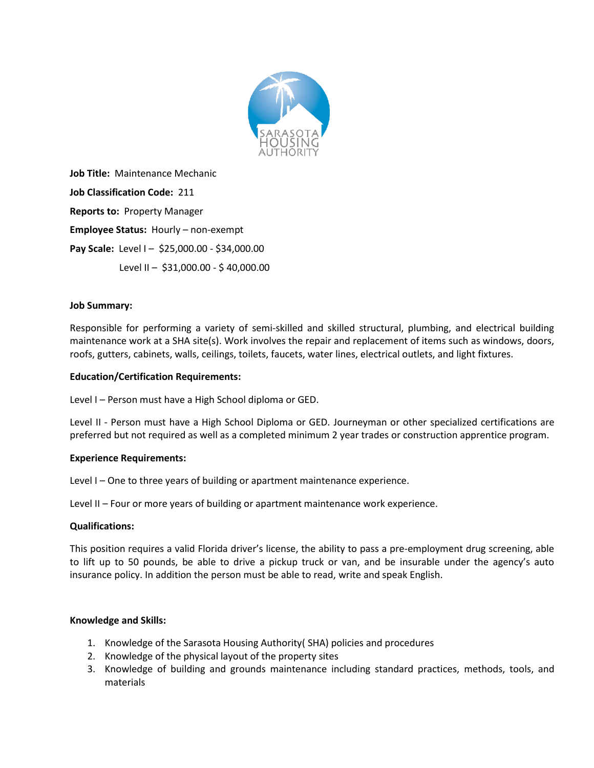

**Job Title:** Maintenance Mechanic **Job Classification Code:** 211 **Reports to:** Property Manager **Employee Status:** Hourly – non-exempt **Pay Scale:** Level I – \$25,000.00 - \$34,000.00 Level II – \$31,000.00 - \$ 40,000.00

## **Job Summary:**

Responsible for performing a variety of semi-skilled and skilled structural, plumbing, and electrical building maintenance work at a SHA site(s). Work involves the repair and replacement of items such as windows, doors, roofs, gutters, cabinets, walls, ceilings, toilets, faucets, water lines, electrical outlets, and light fixtures.

### **Education/Certification Requirements:**

Level I – Person must have a High School diploma or GED.

Level II - Person must have a High School Diploma or GED. Journeyman or other specialized certifications are preferred but not required as well as a completed minimum 2 year trades or construction apprentice program.

### **Experience Requirements:**

Level I – One to three years of building or apartment maintenance experience.

Level II – Four or more years of building or apartment maintenance work experience.

# **Qualifications:**

This position requires a valid Florida driver's license, the ability to pass a pre-employment drug screening, able to lift up to 50 pounds, be able to drive a pickup truck or van, and be insurable under the agency's auto insurance policy. In addition the person must be able to read, write and speak English.

### **Knowledge and Skills:**

- 1. Knowledge of the Sarasota Housing Authority( SHA) policies and procedures
- 2. Knowledge of the physical layout of the property sites
- 3. Knowledge of building and grounds maintenance including standard practices, methods, tools, and materials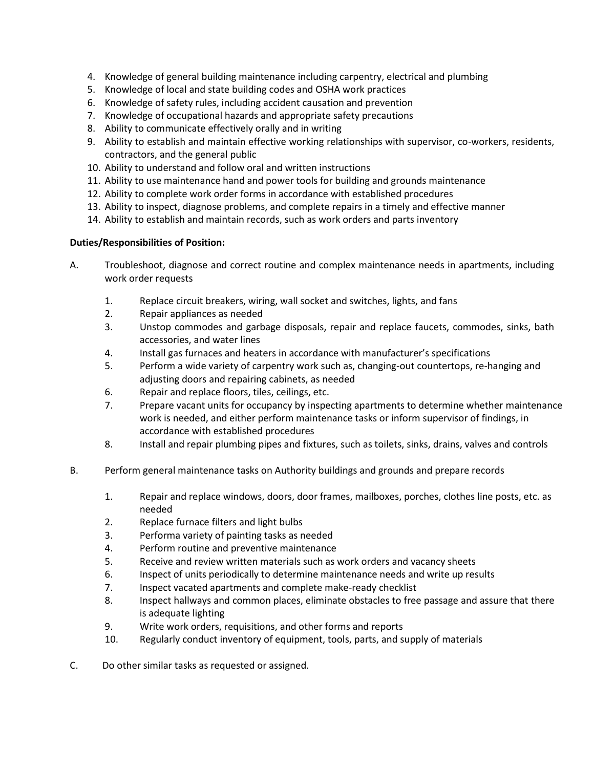- 4. Knowledge of general building maintenance including carpentry, electrical and plumbing
- 5. Knowledge of local and state building codes and OSHA work practices
- 6. Knowledge of safety rules, including accident causation and prevention
- 7. Knowledge of occupational hazards and appropriate safety precautions
- 8. Ability to communicate effectively orally and in writing
- 9. Ability to establish and maintain effective working relationships with supervisor, co-workers, residents, contractors, and the general public
- 10. Ability to understand and follow oral and written instructions
- 11. Ability to use maintenance hand and power tools for building and grounds maintenance
- 12. Ability to complete work order forms in accordance with established procedures
- 13. Ability to inspect, diagnose problems, and complete repairs in a timely and effective manner
- 14. Ability to establish and maintain records, such as work orders and parts inventory

## **Duties/Responsibilities of Position:**

- A. Troubleshoot, diagnose and correct routine and complex maintenance needs in apartments, including work order requests
	- 1. Replace circuit breakers, wiring, wall socket and switches, lights, and fans
	- 2. Repair appliances as needed
	- 3. Unstop commodes and garbage disposals, repair and replace faucets, commodes, sinks, bath accessories, and water lines
	- 4. Install gas furnaces and heaters in accordance with manufacturer's specifications
	- 5. Perform a wide variety of carpentry work such as, changing-out countertops, re-hanging and adjusting doors and repairing cabinets, as needed
	- 6. Repair and replace floors, tiles, ceilings, etc.
	- 7. Prepare vacant units for occupancy by inspecting apartments to determine whether maintenance work is needed, and either perform maintenance tasks or inform supervisor of findings, in accordance with established procedures
	- 8. Install and repair plumbing pipes and fixtures, such as toilets, sinks, drains, valves and controls
- B. Perform general maintenance tasks on Authority buildings and grounds and prepare records
	- 1. Repair and replace windows, doors, door frames, mailboxes, porches, clothes line posts, etc. as needed
	- 2. Replace furnace filters and light bulbs
	- 3. Performa variety of painting tasks as needed
	- 4. Perform routine and preventive maintenance
	- 5. Receive and review written materials such as work orders and vacancy sheets
	- 6. Inspect of units periodically to determine maintenance needs and write up results
	- 7. Inspect vacated apartments and complete make-ready checklist
	- 8. Inspect hallways and common places, eliminate obstacles to free passage and assure that there is adequate lighting
	- 9. Write work orders, requisitions, and other forms and reports
	- 10. Regularly conduct inventory of equipment, tools, parts, and supply of materials
- C. Do other similar tasks as requested or assigned.